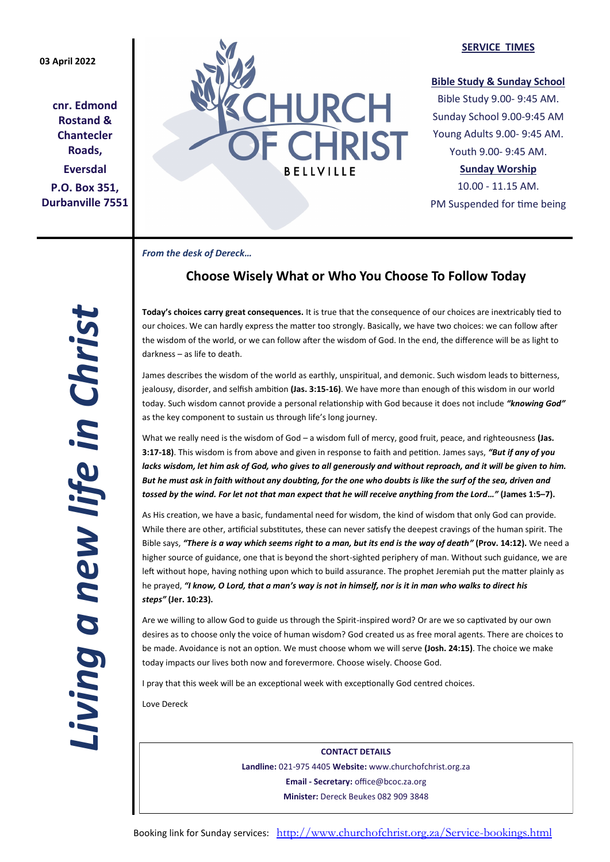## **03 April 2022**

**cnr. Edmond Rostand & Chantecler Roads, Eversdal P.O. Box 351, Durbanville 7551**



#### **SERVICE TIMES**

## **Bible Study & Sunday School**

Bible Study 9.00- 9:45 AM. Sunday School 9.00-9:45 AM Young Adults 9.00- 9:45 AM. Youth 9.00- 9:45 AM.

## **Sunday Worship**

10.00 - 11.15 AM. PM Suspended for time being

*From the desk of Dereck…* 

# **Choose Wisely What or Who You Choose To Follow Today**

**Today's choices carry great consequences.** It is true that the consequence of our choices are inextricably tied to our choices. We can hardly express the matter too strongly. Basically, we have two choices: we can follow after the wisdom of the world, or we can follow after the wisdom of God. In the end, the difference will be as light to darkness – as life to death.

James describes the wisdom of the world as earthly, unspiritual, and demonic. Such wisdom leads to bitterness, jealousy, disorder, and selfish ambition **(Jas. 3:15-16)**. We have more than enough of this wisdom in our world today. Such wisdom cannot provide a personal relationship with God because it does not include *"knowing God"* as the key component to sustain us through life's long journey.

What we really need is the wisdom of God – a wisdom full of mercy, good fruit, peace, and righteousness **(Jas. 3:17-18)**. This wisdom is from above and given in response to faith and petition. James says, *"But if any of you lacks wisdom, let him ask of God, who gives to all generously and without reproach, and it will be given to him. But he must ask in faith without any doubting, for the one who doubts is like the surf of the sea, driven and tossed by the wind. For let not that man expect that he will receive anything from the Lord…"* **(James 1:5–7).**

As His creation, we have a basic, fundamental need for wisdom, the kind of wisdom that only God can provide. While there are other, artificial substitutes, these can never satisfy the deepest cravings of the human spirit. The Bible says, *"There is a way which seems right to a man, but its end is the way of death"* **(Prov. 14:12).** We need a higher source of guidance, one that is beyond the short-sighted periphery of man. Without such guidance, we are left without hope, having nothing upon which to build assurance. The prophet Jeremiah put the matter plainly as he prayed, *"I know, O Lord, that a man's way is not in himself, nor is it in man who walks to direct his steps"* **(Jer. 10:23).**

Are we willing to allow God to guide us through the Spirit-inspired word? Or are we so captivated by our own desires as to choose only the voice of human wisdom? God created us as free moral agents. There are choices to be made. Avoidance is not an option. We must choose whom we will serve **(Josh. 24:15)**. The choice we make today impacts our lives both now and forevermore. Choose wisely. Choose God.

I pray that this week will be an exceptional week with exceptionally God centred choices.

Love Dereck

**CONTACT DETAILS Landline:** 021-975 4405 **Website:** www.churchofchrist.org.za **Email - Secretary:** office@bcoc.za.org **Minister:** Dereck Beukes 082 909 3848